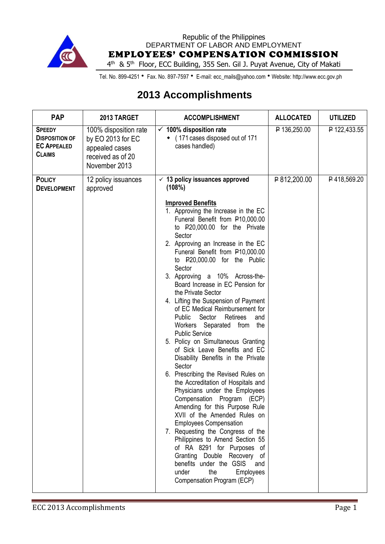

Republic of the Philippines DEPARTMENT OF LABOR AND EMPLOYMENT EMPLOYEES' COMPENSATION COMMISSION

4<sup>th</sup> & 5<sup>th</sup> Floor, ECC Building, 355 Sen. Gil J. Puyat Avenue, City of Makati

Tel. No. 899-4251 • Fax. No. 897-7597 • E-mail: ecc\_mails@yahoo.com • Website: http://www.ecc.gov.ph

## **2013 Accomplishments**

| <b>PAP</b>                                                                    | 2013 TARGET                                                                                        | <b>ACCOMPLISHMENT</b>                                                                                                                                                                                                                                                                                                                                                                                                                                                                                                                                                                                                                                                                                                                                                                                                                                                                                                                                                                                                                                                                                                                          | <b>ALLOCATED</b> | <b>UTILIZED</b> |
|-------------------------------------------------------------------------------|----------------------------------------------------------------------------------------------------|------------------------------------------------------------------------------------------------------------------------------------------------------------------------------------------------------------------------------------------------------------------------------------------------------------------------------------------------------------------------------------------------------------------------------------------------------------------------------------------------------------------------------------------------------------------------------------------------------------------------------------------------------------------------------------------------------------------------------------------------------------------------------------------------------------------------------------------------------------------------------------------------------------------------------------------------------------------------------------------------------------------------------------------------------------------------------------------------------------------------------------------------|------------------|-----------------|
| <b>SPEEDY</b><br><b>DISPOSITION OF</b><br><b>EC APPEALED</b><br><b>CLAIMS</b> | 100% disposition rate<br>by EO 2013 for EC<br>appealed cases<br>received as of 20<br>November 2013 | $\checkmark$ 100% disposition rate<br>• (171 cases disposed out of 171<br>cases handled)                                                                                                                                                                                                                                                                                                                                                                                                                                                                                                                                                                                                                                                                                                                                                                                                                                                                                                                                                                                                                                                       | P 136,250.00     | P 122,433.55    |
| <b>POLICY</b><br><b>DEVELOPMENT</b>                                           | 12 policy issuances<br>approved                                                                    | $\checkmark$ 13 policy issuances approved<br>(108%)                                                                                                                                                                                                                                                                                                                                                                                                                                                                                                                                                                                                                                                                                                                                                                                                                                                                                                                                                                                                                                                                                            | P812,200.00      | P418,569.20     |
|                                                                               |                                                                                                    | <b>Improved Benefits</b><br>1. Approving the Increase in the EC<br>Funeral Benefit from P10,000.00<br>to P20,000.00 for the Private<br>Sector<br>2. Approving an Increase in the EC<br>Funeral Benefit from P10,000.00<br>to P20,000.00 for the Public<br>Sector<br>3. Approving a 10% Across-the-<br>Board Increase in EC Pension for<br>the Private Sector<br>4. Lifting the Suspension of Payment<br>of EC Medical Reimbursement for<br>Public Sector<br>Retirees<br>and<br>Workers Separated from the<br><b>Public Service</b><br>5. Policy on Simultaneous Granting<br>of Sick Leave Benefits and EC<br>Disability Benefits in the Private<br>Sector<br>6. Prescribing the Revised Rules on<br>the Accreditation of Hospitals and<br>Physicians under the Employees<br>Compensation Program (ECP)<br>Amending for this Purpose Rule<br>XVII of the Amended Rules on<br><b>Employees Compensation</b><br>7. Requesting the Congress of the<br>Philippines to Amend Section 55<br>of RA 8291 for Purposes of<br>Granting Double Recovery<br>0f<br>benefits under the GSIS<br>and<br>the<br>under<br>Employees<br>Compensation Program (ECP) |                  |                 |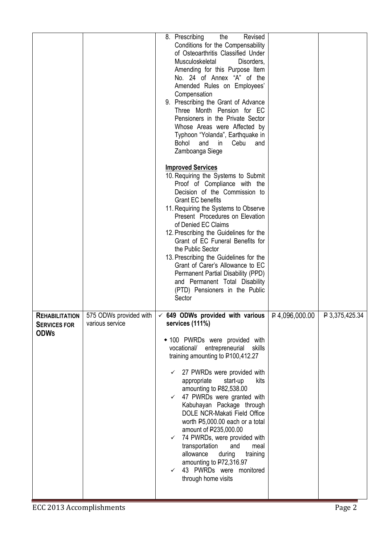|                                                             |                                           | 8. Prescribing<br>the<br>Revised<br>Conditions for the Compensability<br>of Osteoarthritis Classified Under<br>Musculoskeletal<br>Disorders,<br>Amending for this Purpose Item<br>No. 24 of Annex "A" of the<br>Amended Rules on Employees'<br>Compensation<br>9. Prescribing the Grant of Advance<br>Three Month Pension for EC<br>Pensioners in the Private Sector<br>Whose Areas were Affected by<br>Typhoon "Yolanda", Earthquake in<br>Bohol<br>and<br>in<br>Cebu<br>and<br>Zamboanga Siege                                                                                                                                               |                  |                |
|-------------------------------------------------------------|-------------------------------------------|------------------------------------------------------------------------------------------------------------------------------------------------------------------------------------------------------------------------------------------------------------------------------------------------------------------------------------------------------------------------------------------------------------------------------------------------------------------------------------------------------------------------------------------------------------------------------------------------------------------------------------------------|------------------|----------------|
|                                                             |                                           | <b>Improved Services</b><br>10. Requiring the Systems to Submit<br>Proof of Compliance with the<br>Decision of the Commission to<br><b>Grant EC benefits</b><br>11. Requiring the Systems to Observe<br>Present Procedures on Elevation<br>of Denied EC Claims<br>12. Prescribing the Guidelines for the<br>Grant of EC Funeral Benefits for<br>the Public Sector<br>13. Prescribing the Guidelines for the<br>Grant of Carer's Allowance to EC<br>Permanent Partial Disability (PPD)<br>and Permanent Total Disability<br>(PTD) Pensioners in the Public<br>Sector                                                                            |                  |                |
| <b>REHABILITATION</b><br><b>SERVICES FOR</b><br><b>ODWs</b> | 575 ODWs provided with<br>various service | $\times$ 649 ODWs provided with various<br>services (111%)<br>• 100 PWRDs were provided with<br>vocational/ entrepreneurial<br>skills<br>training amounting to P100,412.27<br>27 PWRDs were provided with<br>kits<br>appropriate<br>start-up<br>amounting to P82,538.00<br>$\checkmark$ 47 PWRDs were granted with<br>Kabuhayan Package through<br>DOLE NCR-Makati Field Office<br>worth P5,000.00 each or a total<br>amount of P235,000.00<br>$\checkmark$ 74 PWRDs, were provided with<br>transportation<br>and<br>meal<br>allowance<br>during<br>training<br>amounting to P72,316.97<br>43 PWRDs were monitored<br>✓<br>through home visits | $P$ 4,096,000.00 | P 3,375,425.34 |